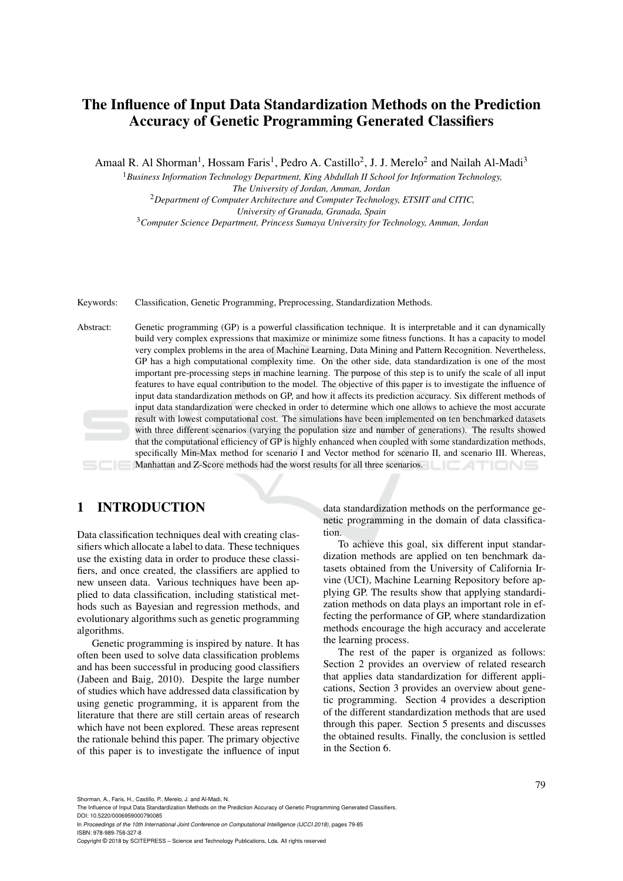# The Influence of Input Data Standardization Methods on the Prediction Accuracy of Genetic Programming Generated Classifiers

Amaal R. Al Shorman<sup>1</sup>, Hossam Faris<sup>1</sup>, Pedro A. Castillo<sup>2</sup>, J. J. Merelo<sup>2</sup> and Nailah Al-Madi<sup>3</sup>

<sup>1</sup>*Business Information Technology Department, King Abdullah II School for Information Technology, The University of Jordan, Amman, Jordan* <sup>2</sup>*Department of Computer Architecture and Computer Technology, ETSIIT and CITIC, University of Granada, Granada, Spain*

<sup>3</sup>*Computer Science Department, Princess Sumaya University for Technology, Amman, Jordan*

Keywords: Classification, Genetic Programming, Preprocessing, Standardization Methods.

Abstract: Genetic programming (GP) is a powerful classification technique. It is interpretable and it can dynamically build very complex expressions that maximize or minimize some fitness functions. It has a capacity to model very complex problems in the area of Machine Learning, Data Mining and Pattern Recognition. Nevertheless, GP has a high computational complexity time. On the other side, data standardization is one of the most important pre-processing steps in machine learning. The purpose of this step is to unify the scale of all input features to have equal contribution to the model. The objective of this paper is to investigate the influence of input data standardization methods on GP, and how it affects its prediction accuracy. Six different methods of input data standardization were checked in order to determine which one allows to achieve the most accurate result with lowest computational cost. The simulations have been implemented on ten benchmarked datasets with three different scenarios (varying the population size and number of generations). The results showed that the computational efficiency of GP is highly enhanced when coupled with some standardization methods, specifically Min-Max method for scenario I and Vector method for scenario II, and scenario III. Whereas, Manhattan and Z-Score methods had the worst results for all three scenarios.

# 1 INTRODUCTION

Data classification techniques deal with creating classifiers which allocate a label to data. These techniques use the existing data in order to produce these classifiers, and once created, the classifiers are applied to new unseen data. Various techniques have been applied to data classification, including statistical methods such as Bayesian and regression methods, and evolutionary algorithms such as genetic programming algorithms.

Genetic programming is inspired by nature. It has often been used to solve data classification problems and has been successful in producing good classifiers (Jabeen and Baig, 2010). Despite the large number of studies which have addressed data classification by using genetic programming, it is apparent from the literature that there are still certain areas of research which have not been explored. These areas represent the rationale behind this paper. The primary objective of this paper is to investigate the influence of input data standardization methods on the performance genetic programming in the domain of data classification.

To achieve this goal, six different input standardization methods are applied on ten benchmark datasets obtained from the University of California Irvine (UCI), Machine Learning Repository before applying GP. The results show that applying standardization methods on data plays an important role in effecting the performance of GP, where standardization methods encourage the high accuracy and accelerate the learning process.

The rest of the paper is organized as follows: Section 2 provides an overview of related research that applies data standardization for different applications, Section 3 provides an overview about genetic programming. Section 4 provides a description of the different standardization methods that are used through this paper. Section 5 presents and discusses the obtained results. Finally, the conclusion is settled in the Section 6.

Shorman, A., Faris, H., Castillo, P., Merelo, J. and Al-Madi, N.

The Influence of Input Data Standardization Methods on the Prediction Accuracy of Genetic Programming Generated Classifiers. DOI: 10.5220/0006959000790085

In *Proceedings of the 10th International Joint Conference on Computational Intelligence (IJCCI 2018)*, pages 79-85 ISBN: 978-989-758-327-8

Copyright © 2018 by SCITEPRESS – Science and Technology Publications, Lda. All rights reserved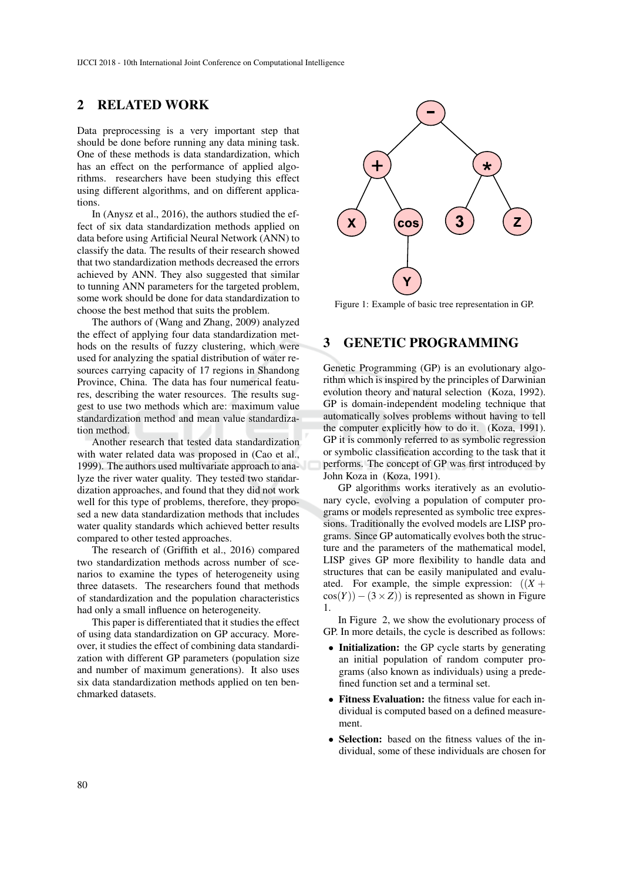### 2 RELATED WORK

Data preprocessing is a very important step that should be done before running any data mining task. One of these methods is data standardization, which has an effect on the performance of applied algorithms. researchers have been studying this effect using different algorithms, and on different applications.

In (Anysz et al., 2016), the authors studied the effect of six data standardization methods applied on data before using Artificial Neural Network (ANN) to classify the data. The results of their research showed that two standardization methods decreased the errors achieved by ANN. They also suggested that similar to tunning ANN parameters for the targeted problem, some work should be done for data standardization to choose the best method that suits the problem.

The authors of (Wang and Zhang, 2009) analyzed the effect of applying four data standardization methods on the results of fuzzy clustering, which were used for analyzing the spatial distribution of water resources carrying capacity of 17 regions in Shandong Province, China. The data has four numerical features, describing the water resources. The results suggest to use two methods which are: maximum value standardization method and mean value standardization method.

Another research that tested data standardization with water related data was proposed in (Cao et al., 1999). The authors used multivariate approach to analyze the river water quality. They tested two standardization approaches, and found that they did not work well for this type of problems, therefore, they proposed a new data standardization methods that includes water quality standards which achieved better results compared to other tested approaches.

The research of (Griffith et al., 2016) compared two standardization methods across number of scenarios to examine the types of heterogeneity using three datasets. The researchers found that methods of standardization and the population characteristics had only a small influence on heterogeneity.

This paper is differentiated that it studies the effect of using data standardization on GP accuracy. Moreover, it studies the effect of combining data standardization with different GP parameters (population size and number of maximum generations). It also uses six data standardization methods applied on ten benchmarked datasets.



Figure 1: Example of basic tree representation in GP.

# 3 GENETIC PROGRAMMING

Genetic Programming (GP) is an evolutionary algorithm which is inspired by the principles of Darwinian evolution theory and natural selection (Koza, 1992). GP is domain-independent modeling technique that automatically solves problems without having to tell the computer explicitly how to do it. (Koza, 1991). GP it is commonly referred to as symbolic regression or symbolic classification according to the task that it performs. The concept of GP was first introduced by John Koza in (Koza, 1991).

GP algorithms works iteratively as an evolutionary cycle, evolving a population of computer programs or models represented as symbolic tree expressions. Traditionally the evolved models are LISP programs. Since GP automatically evolves both the structure and the parameters of the mathematical model, LISP gives GP more flexibility to handle data and structures that can be easily manipulated and evaluated. For example, the simple expression:  $((X +$  $cos(Y)$ ) − (3 × *Z*)) is represented as shown in Figure 1.

In Figure 2, we show the evolutionary process of GP. In more details, the cycle is described as follows:

- Initialization: the GP cycle starts by generating an initial population of random computer programs (also known as individuals) using a predefined function set and a terminal set.
- Fitness Evaluation: the fitness value for each individual is computed based on a defined measurement.
- Selection: based on the fitness values of the individual, some of these individuals are chosen for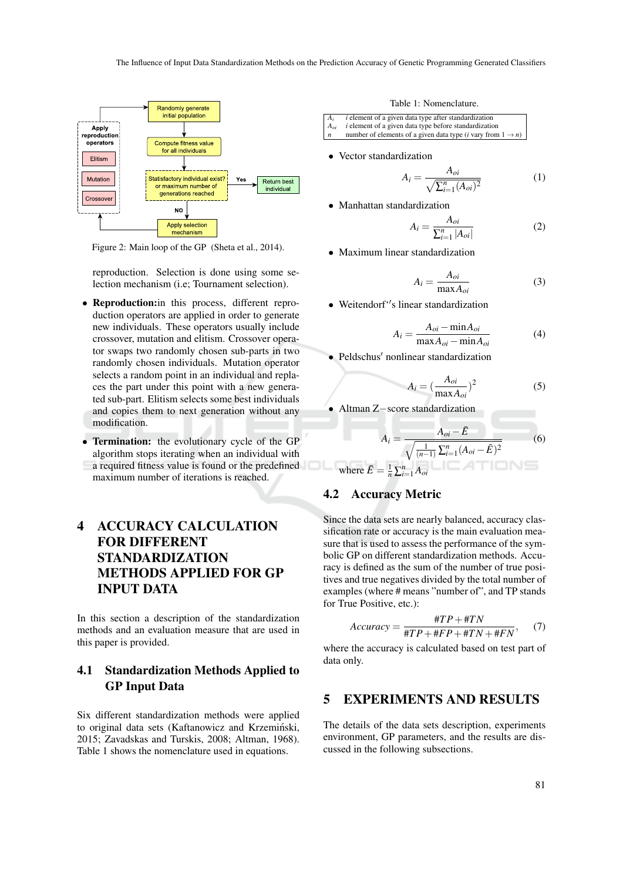

Figure 2: Main loop of the GP (Sheta et al., 2014).

reproduction. Selection is done using some selection mechanism (i.e; Tournament selection).

- Reproduction:in this process, different reproduction operators are applied in order to generate new individuals. These operators usually include crossover, mutation and elitism. Crossover operator swaps two randomly chosen sub-parts in two randomly chosen individuals. Mutation operator selects a random point in an individual and replaces the part under this point with a new generated sub-part. Elitism selects some best individuals and copies them to next generation without any modification.
- Termination: the evolutionary cycle of the GP algorithm stops iterating when an individual with a required fitness value is found or the predefined maximum number of iterations is reached.

# 4 ACCURACY CALCULATION FOR DIFFERENT STANDARDIZATION METHODS APPLIED FOR GP INPUT DATA

In this section a description of the standardization methods and an evaluation measure that are used in this paper is provided.

# 4.1 Standardization Methods Applied to GP Input Data

Six different standardization methods were applied to original data sets (Kaftanowicz and Krzemiński, 2015; Zavadskas and Turskis, 2008; Altman, 1968). Table 1 shows the nomenclature used in equations.

Table 1: Nomenclature.

| $A_i$            | <i>i</i> element of a given data type after standardization                      |
|------------------|----------------------------------------------------------------------------------|
| $A_{oi}$         | <i>i</i> element of a given data type before standardization                     |
| $\boldsymbol{n}$ | number of elements of a given data type ( <i>i</i> vary from $1 \rightarrow n$ ) |

• Vector standardization

$$
A_{i} = \frac{A_{oi}}{\sqrt{\sum_{i=1}^{n} (A_{oi})^{2}}}
$$
 (1)

• Manhattan standardization

$$
A_i = \frac{A_{oi}}{\sum_{i=1}^n |A_{oi}|} \tag{2}
$$

• Maximum linear standardization

$$
A_i = \frac{A_{oi}}{\max A_{oi}} \tag{3}
$$

• Weitendorf<sup>\*</sup>'s linear standardization

$$
A_i = \frac{A_{oi} - \min A_{oi}}{\max A_{oi} - \min A_{oi}} \tag{4}
$$

 $\bullet$  Peldschus' nonlinear standardization

$$
A_i = \left(\frac{A_{oi}}{\max A_{oi}}\right)^2\tag{5}
$$

• Altman Z−score standardization

$$
A_{i} = \frac{A_{oi} - \bar{E}}{\sqrt{\frac{1}{(n-1)}\sum_{i=1}^{n}(A_{oi} - \bar{E})^{2}}}
$$
 (6)  
where  $\bar{E} = \frac{1}{n}\sum_{i=1}^{n} A_{oi}$ 

#### 4.2 Accuracy Metric

Since the data sets are nearly balanced, accuracy classification rate or accuracy is the main evaluation measure that is used to assess the performance of the symbolic GP on different standardization methods. Accuracy is defined as the sum of the number of true positives and true negatives divided by the total number of examples (where # means "number of", and TP stands for True Positive, etc.):

$$
Accuracy = \frac{\#TP + \#TN}{\#TP + \#FP + \#TN + \#FN}, \quad (7)
$$

where the accuracy is calculated based on test part of data only.

# 5 EXPERIMENTS AND RESULTS

The details of the data sets description, experiments environment, GP parameters, and the results are discussed in the following subsections.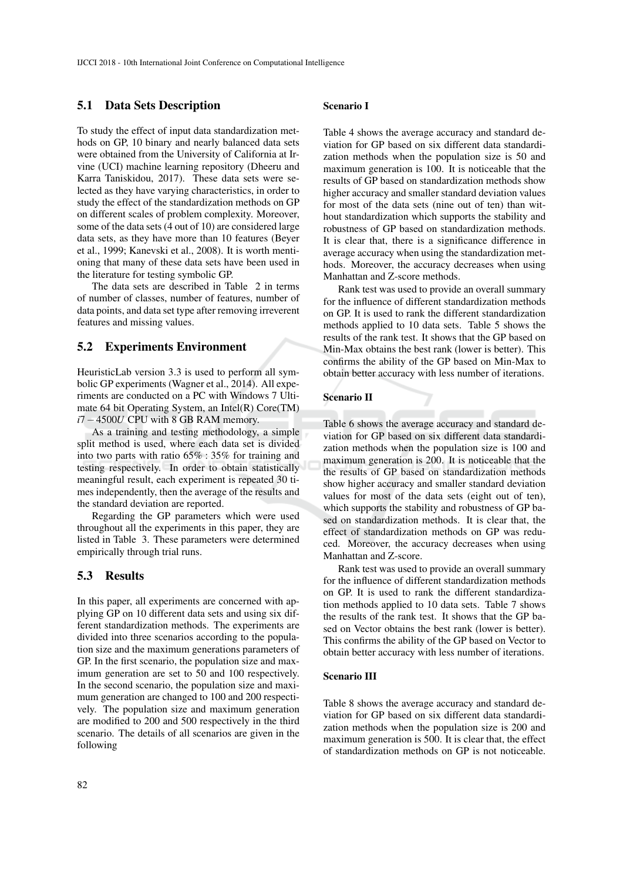#### 5.1 Data Sets Description

To study the effect of input data standardization methods on GP, 10 binary and nearly balanced data sets were obtained from the University of California at Irvine (UCI) machine learning repository (Dheeru and Karra Taniskidou, 2017). These data sets were selected as they have varying characteristics, in order to study the effect of the standardization methods on GP on different scales of problem complexity. Moreover, some of the data sets (4 out of 10) are considered large data sets, as they have more than 10 features (Beyer et al., 1999; Kanevski et al., 2008). It is worth mentioning that many of these data sets have been used in the literature for testing symbolic GP.

The data sets are described in Table 2 in terms of number of classes, number of features, number of data points, and data set type after removing irreverent features and missing values.

#### 5.2 Experiments Environment

HeuristicLab version 3.3 is used to perform all symbolic GP experiments (Wagner et al., 2014). All experiments are conducted on a PC with Windows 7 Ultimate 64 bit Operating System, an Intel(R) Core(TM) *i*7−4500*U* CPU with 8 GB RAM memory.

As a training and testing methodology, a simple split method is used, where each data set is divided into two parts with ratio 65% : 35% for training and testing respectively. In order to obtain statistically meaningful result, each experiment is repeated 30 times independently, then the average of the results and the standard deviation are reported.

Regarding the GP parameters which were used throughout all the experiments in this paper, they are listed in Table 3. These parameters were determined empirically through trial runs.

#### 5.3 Results

In this paper, all experiments are concerned with applying GP on 10 different data sets and using six different standardization methods. The experiments are divided into three scenarios according to the population size and the maximum generations parameters of GP. In the first scenario, the population size and maximum generation are set to 50 and 100 respectively. In the second scenario, the population size and maximum generation are changed to 100 and 200 respectively. The population size and maximum generation are modified to 200 and 500 respectively in the third scenario. The details of all scenarios are given in the following

#### Scenario I

Table 4 shows the average accuracy and standard deviation for GP based on six different data standardization methods when the population size is 50 and maximum generation is 100. It is noticeable that the results of GP based on standardization methods show higher accuracy and smaller standard deviation values for most of the data sets (nine out of ten) than without standardization which supports the stability and robustness of GP based on standardization methods. It is clear that, there is a significance difference in average accuracy when using the standardization methods. Moreover, the accuracy decreases when using Manhattan and Z-score methods.

Rank test was used to provide an overall summary for the influence of different standardization methods on GP. It is used to rank the different standardization methods applied to 10 data sets. Table 5 shows the results of the rank test. It shows that the GP based on Min-Max obtains the best rank (lower is better). This confirms the ability of the GP based on Min-Max to obtain better accuracy with less number of iterations.

#### Scenario II

Table 6 shows the average accuracy and standard deviation for GP based on six different data standardization methods when the population size is 100 and maximum generation is 200. It is noticeable that the the results of GP based on standardization methods show higher accuracy and smaller standard deviation values for most of the data sets (eight out of ten), which supports the stability and robustness of GP based on standardization methods. It is clear that, the effect of standardization methods on GP was reduced. Moreover, the accuracy decreases when using Manhattan and Z-score.

Rank test was used to provide an overall summary for the influence of different standardization methods on GP. It is used to rank the different standardization methods applied to 10 data sets. Table 7 shows the results of the rank test. It shows that the GP based on Vector obtains the best rank (lower is better). This confirms the ability of the GP based on Vector to obtain better accuracy with less number of iterations.

#### Scenario III

Table 8 shows the average accuracy and standard deviation for GP based on six different data standardization methods when the population size is 200 and maximum generation is 500. It is clear that, the effect of standardization methods on GP is not noticeable.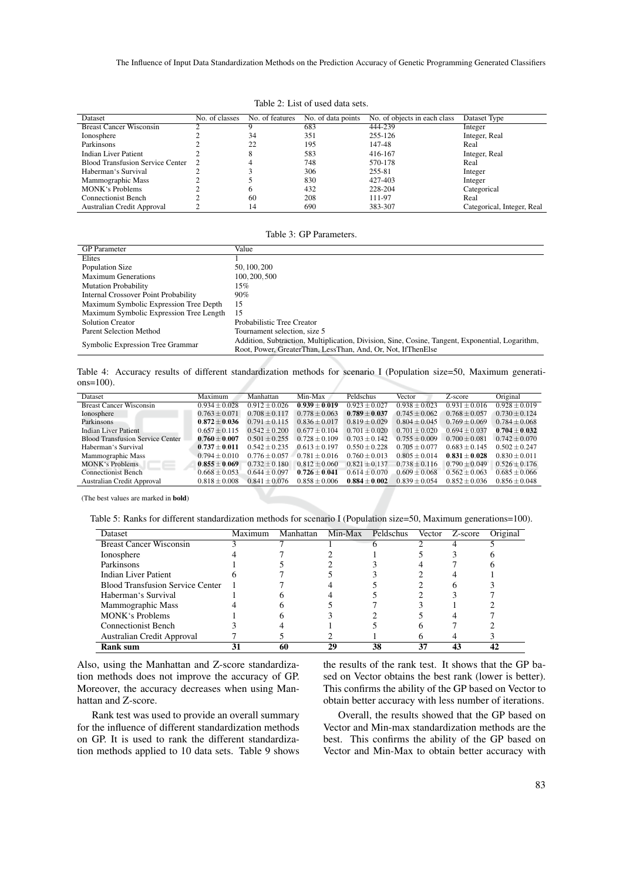| Dataset                                 | No. of classes | No. of features | No. of data points | No. of objects in each class | Dataset Type               |
|-----------------------------------------|----------------|-----------------|--------------------|------------------------------|----------------------------|
| <b>Breast Cancer Wisconsin</b>          |                |                 | 683                | 444-239                      | Integer                    |
| Ionosphere                              |                | 34              | 351                | 255-126                      | Integer, Real              |
| Parkinsons                              |                | 22              | 195                | 147-48                       | Real                       |
| <b>Indian Liver Patient</b>             |                | 8               | 583                | 416-167                      | Integer, Real              |
| <b>Blood Transfusion Service Center</b> |                |                 | 748                | 570-178                      | Real                       |
| Haberman's Survival                     |                |                 | 306                | 255-81                       | Integer                    |
| Mammographic Mass                       |                |                 | 830                | 427-403                      | Integer                    |
| <b>MONK</b> 's Problems                 |                | h               | 432                | 228-204                      | Categorical                |
| <b>Connectionist Bench</b>              |                | 60              | 208                | 111-97                       | Real                       |
| Australian Credit Approval              |                | 14              | 690                | 383-307                      | Categorical, Integer, Real |

Table 2: List of used data sets.

|  | Table 3: GP Parameters. |
|--|-------------------------|
|--|-------------------------|

| <b>GP</b> Parameter                     | Value                                                                                                                                                           |
|-----------------------------------------|-----------------------------------------------------------------------------------------------------------------------------------------------------------------|
| Elites                                  |                                                                                                                                                                 |
| Population Size                         | 50, 100, 200                                                                                                                                                    |
| Maximum Generations                     | 100, 200, 500                                                                                                                                                   |
| <b>Mutation Probability</b>             | 15%                                                                                                                                                             |
| Internal Crossover Point Probability    | 90%                                                                                                                                                             |
| Maximum Symbolic Expression Tree Depth  | 15                                                                                                                                                              |
| Maximum Symbolic Expression Tree Length | -15                                                                                                                                                             |
| <b>Solution Creator</b>                 | Probabilistic Tree Creator                                                                                                                                      |
| <b>Parent Selection Method</b>          | Tournament selection, size 5                                                                                                                                    |
| Symbolic Expression Tree Grammar        | Addition, Subtraction, Multiplication, Division, Sine, Cosine, Tangent, Exponential, Logarithm,<br>Root, Power, GreaterThan, LessThan, And, Or, Not, IfThenElse |

Table 4: Accuracy results of different standardization methods for scenario I (Population size=50, Maximum generations=100).

| Dataset                                 | Maximum         | Manhattan       | Min-Max         | Peldschus         | Vector          | Z-score           | Original        |
|-----------------------------------------|-----------------|-----------------|-----------------|-------------------|-----------------|-------------------|-----------------|
| <b>Breast Cancer Wisconsin</b>          | $0.934 + 0.028$ | $0.912 + 0.026$ | $0.939 + 0.019$ | $0.923 + 0.027$   | $0.938 + 0.023$ | $0.931 \pm 0.016$ | $0.928 + 0.019$ |
| Ionosphere                              | $0.763 + 0.071$ | $0.708 + 0.117$ | $0.778 + 0.063$ | $0.789 + 0.037$   | $0.745 + 0.062$ | $0.768 + 0.057$   | $0.730 + 0.124$ |
| Parkinsons                              | $0.872 + 0.036$ | $0.791 + 0.115$ | $0.836 + 0.017$ | $0.819 + 0.029$   | $0.804 + 0.045$ | $0.769 + 0.069$   | $0.784 + 0.068$ |
| Indian Liver Patient                    | $0.657 + 0.115$ | $0.542 + 0.200$ | $0.677 + 0.104$ | $0.701 + 0.020$   | $0.701 + 0.020$ | $0.694 + 0.037$   | $0.704 + 0.032$ |
| <b>Blood Transfusion Service Center</b> | $0.760 + 0.007$ | $0.501 + 0.255$ | $0.728 + 0.109$ | $0.703 + 0.142$   | $0.755 + 0.009$ | $0.700 + 0.081$   | $0.742 + 0.070$ |
| Haberman's Survival                     | $0.737 + 0.011$ | $0.542 + 0.235$ | $0.613 + 0.197$ | $0.550 + 0.228$   | $0.705 + 0.077$ | $0.683 + 0.145$   | $0.502 + 0.247$ |
| Mammographic Mass                       | $0.794 + 0.010$ | $0.776 + 0.057$ | $0.781 + 0.016$ | $0.760 \pm 0.013$ | $0.805 + 0.014$ | $0.831 + 0.028$   | $0.830 + 0.011$ |
| <b>MONK</b> 's Problems                 | $0.855 + 0.069$ | $0.732 + 0.180$ | $0.812 + 0.060$ | $0.821 + 0.137$   | $0.738 + 0.116$ | $0.790 + 0.049$   | $0.526 + 0.176$ |
| <b>Connectionist Bench</b>              | $0.668 + 0.053$ | $0.644 + 0.097$ | $0.726 + 0.041$ | $0.614 + 0.070$   | $0.609 + 0.068$ | $0.562 + 0.063$   | $0.685 + 0.066$ |
| Australian Credit Approval              | $0.818 + 0.008$ | $0.841 + 0.076$ | $0.858 + 0.006$ | $0.884 + 0.002$   | $0.839 + 0.054$ | $0.852 \pm 0.036$ | $0.856 + 0.048$ |

(The best values are marked in bold)

Table 5: Ranks for different standardization methods for scenario I (Population size=50, Maximum generations=100).

| Dataset                                 | Maximum | Manhattan | Min-Max | Peldschus | Vector | Z-score | Original |
|-----------------------------------------|---------|-----------|---------|-----------|--------|---------|----------|
| <b>Breast Cancer Wisconsin</b>          |         |           |         |           |        |         |          |
| Ionosphere                              |         |           |         |           |        |         |          |
| Parkinsons                              |         |           |         |           |        |         |          |
| Indian Liver Patient                    |         |           |         |           |        |         |          |
| <b>Blood Transfusion Service Center</b> |         |           |         |           |        |         |          |
| Haberman's Survival                     |         |           |         |           |        |         |          |
| Mammographic Mass                       |         |           |         |           |        |         |          |
| MONK's Problems                         |         |           |         |           |        |         |          |
| <b>Connectionist Bench</b>              |         |           |         |           |        |         |          |
| Australian Credit Approval              |         |           |         |           |        |         |          |
| <b>Rank sum</b>                         |         | 60        | 29      | 38        | 37     |         | 42       |

Also, using the Manhattan and Z-score standardization methods does not improve the accuracy of GP. Moreover, the accuracy decreases when using Manhattan and Z-score.

Rank test was used to provide an overall summary for the influence of different standardization methods on GP. It is used to rank the different standardization methods applied to 10 data sets. Table 9 shows the results of the rank test. It shows that the GP based on Vector obtains the best rank (lower is better). This confirms the ability of the GP based on Vector to obtain better accuracy with less number of iterations.

Overall, the results showed that the GP based on Vector and Min-max standardization methods are the best. This confirms the ability of the GP based on Vector and Min-Max to obtain better accuracy with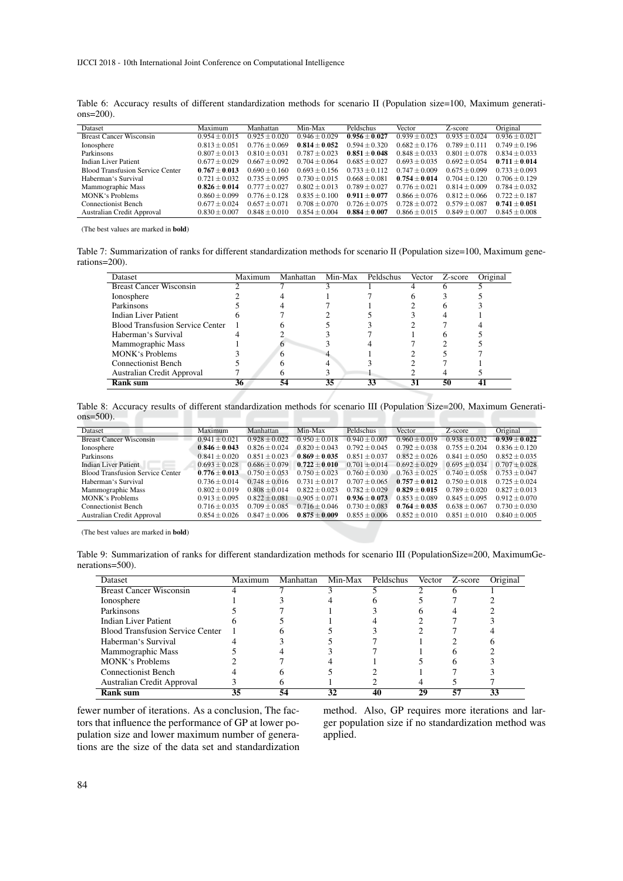Table 6: Accuracy results of different standardization methods for scenario II (Population size=100, Maximum generations=200).

| Dataset                                 | Maximum         | Manhattan       | Min-Max         | Peldschus       | Vector          | Z-score         | Original        |
|-----------------------------------------|-----------------|-----------------|-----------------|-----------------|-----------------|-----------------|-----------------|
| <b>Breast Cancer Wisconsin</b>          | $0.954 + 0.015$ | $0.925 + 0.020$ | $0.946 + 0.029$ | $0.956 + 0.027$ | $0.939 + 0.023$ | $0.935 + 0.024$ | $0.936 + 0.021$ |
| Ionosphere                              | $0.813 + 0.051$ | $0.776 + 0.069$ | $0.814 + 0.052$ | $0.594 + 0.320$ | $0.682 + 0.176$ | $0.789 + 0.111$ | $0.749 + 0.196$ |
| Parkinsons                              | $0.807 + 0.013$ | $0.810 + 0.031$ | $0.787 + 0.023$ | $0.851 + 0.048$ | $0.848 + 0.033$ | $0.801 + 0.078$ | $0.834 + 0.033$ |
| Indian Liver Patient                    | $0.677 + 0.029$ | $0.667 + 0.092$ | $0.704 + 0.064$ | $0.685 + 0.027$ | $0.693 + 0.035$ | $0.692 + 0.054$ | $0.711 + 0.014$ |
| <b>Blood Transfusion Service Center</b> | $0.767 + 0.013$ | $0.690 + 0.160$ | $0.693 + 0.156$ | $0.733 + 0.112$ | $0.747 + 0.009$ | $0.675 + 0.099$ | $0.733 + 0.093$ |
| Haberman's Survival                     | $0.721 + 0.032$ | $0.735 + 0.095$ | $0.730 + 0.015$ | $0.668 + 0.081$ | $0.754 + 0.014$ | $0.704 + 0.120$ | $0.706 + 0.129$ |
| Mammographic Mass                       | $0.826 + 0.014$ | $0.777 + 0.027$ | $0.802 + 0.013$ | $0.789 + 0.027$ | $0.776 + 0.021$ | $0.814 + 0.009$ | $0.784 + 0.032$ |
| MONK's Problems                         | $0.860 + 0.099$ | $0.776 + 0.128$ | $0.835 + 0.100$ | $0.911 + 0.077$ | $0.866 + 0.076$ | $0.812 + 0.066$ | $0.722 + 0.187$ |
| <b>Connectionist Bench</b>              | $0.677 + 0.024$ | $0.657 + 0.071$ | $0.708 + 0.070$ | $0.726 + 0.075$ | $0.728 + 0.072$ | $0.579 + 0.087$ | $0.741 + 0.051$ |
| Australian Credit Approval              | $0.830 + 0.007$ | $0.848 + 0.010$ | $0.854 + 0.004$ | $0.884 + 0.007$ | $0.866 + 0.015$ | $0.849 + 0.007$ | $0.845 + 0.008$ |
|                                         |                 |                 |                 |                 |                 |                 |                 |

(The best values are marked in bold)

Table 7: Summarization of ranks for different standardization methods for scenario II (Population size=100, Maximum generations=200).

| Dataset                                 | Maximum | Manhattan | Min-Max | Peldschus | <b>Vector</b> | Z-score | Original |
|-----------------------------------------|---------|-----------|---------|-----------|---------------|---------|----------|
| <b>Breast Cancer Wisconsin</b>          |         |           |         |           |               |         |          |
| Ionosphere                              |         |           |         |           |               |         |          |
| Parkinsons                              |         |           |         |           |               |         |          |
| Indian Liver Patient                    |         |           |         |           |               |         |          |
| <b>Blood Transfusion Service Center</b> |         |           |         |           |               |         |          |
| Haberman's Survival                     |         |           |         |           |               |         |          |
| Mammographic Mass                       |         |           |         |           |               |         |          |
| <b>MONK</b> 's Problems                 |         |           |         |           |               |         |          |
| Connectionist Bench                     |         |           |         |           |               |         |          |
| Australian Credit Approval              |         |           |         |           |               |         |          |
| <b>Rank sum</b>                         | 36      | 54        | 35      | 33        | 31            | 50      |          |

Table 8: Accuracy results of different standardization methods for scenario III (Population Size=200, Maximum Generations=500).

| Dataset                                 | Maximum         | Manhattan         | Min-Max           | Peldschus         | Vector            | Z-score         | Original        |
|-----------------------------------------|-----------------|-------------------|-------------------|-------------------|-------------------|-----------------|-----------------|
| <b>Breast Cancer Wisconsin</b>          | $0.941 + 0.021$ | $0.928 + 0.022$   | $0.950 + 0.018$   | $0.940 + 0.007$   | $0.960 + 0.019$   | $0.938 + 0.032$ | $0.939 + 0.022$ |
| Ionosphere                              | $0.846 + 0.043$ | $0.826 + 0.024$   | $0.820 + 0.043$   | $0.792 \pm 0.045$ | $0.792 \pm 0.038$ | $0.755 + 0.204$ | $0.836 + 0.120$ |
| Parkinsons                              | $0.841 + 0.020$ | $0.851 + 0.023$   | $0.869 + 0.035$   | $0.851 + 0.037$   | $0.852 + 0.026$   | $0.841 + 0.050$ | $0.852 + 0.035$ |
| <b>Indian Liver Patient</b>             | $0.693 + 0.028$ | $0.686 + 0.079$   | $0.722 + 0.010$   | $0.701 + 0.014$   | $0.692 + 0.029$   | $0.695 + 0.034$ | $0.707 + 0.028$ |
| <b>Blood Transfusion Service Center</b> | $0.776 + 0.013$ | $0.750 \pm 0.053$ | $0.750 + 0.023$   | $0.760 + 0.030$   | $0.763 + 0.025$   | $0.740 + 0.058$ | $0.753 + 0.047$ |
| Haberman's Survival                     | $0.736 + 0.014$ | $0.748 + 0.016$   | $0.731 + 0.017$   | $0.707 + 0.065$   | $0.757 + 0.012$   | $0.750 + 0.018$ | $0.725 + 0.024$ |
| Mammographic Mass                       | $0.802 + 0.019$ | $0.808 + 0.014$   | $0.822 + 0.023$   | $0.782 + 0.029$   | $0.829 + 0.015$   | $0.789 + 0.020$ | $0.827 + 0.013$ |
| MONK's Problems                         | $0.913 + 0.095$ | $0.822 + 0.081$   | $0.905 + 0.071$   | $0.936 + 0.073$   | $0.853 + 0.089$   | $0.845 + 0.095$ | $0.912 + 0.070$ |
| <b>Connectionist Bench</b>              | $0.716 + 0.035$ | $0.709 + 0.085$   | $0.716 \pm 0.046$ | $0.730 + 0.083$   | $0.764 + 0.035$   | $0.638 + 0.067$ | $0.730 + 0.030$ |
| Australian Credit Approval              | $0.854 + 0.026$ | $0.847 + 0.006$   | $0.875 + 0.009$   | $0.855 + 0.006$   | $0.852 \pm 0.010$ | $0.851 + 0.010$ | $0.840 + 0.005$ |

(The best values are marked in bold)

Table 9: Summarization of ranks for different standardization methods for scenario III (PopulationSize=200, MaximumGenerations=500).

| <b>Dataset</b>                          | Maximum | Manhattan | Min-Max | Peldschus | Vector | Z-score | Original |
|-----------------------------------------|---------|-----------|---------|-----------|--------|---------|----------|
| <b>Breast Cancer Wisconsin</b>          |         |           |         |           |        |         |          |
| Ionosphere                              |         |           |         |           |        |         |          |
| Parkinsons                              |         |           |         |           |        |         |          |
| <b>Indian Liver Patient</b>             |         |           |         |           |        |         |          |
| <b>Blood Transfusion Service Center</b> |         |           |         |           |        |         |          |
| Haberman's Survival                     |         |           |         |           |        |         |          |
| Mammographic Mass                       |         |           |         |           |        |         |          |
| <b>MONK</b> 's Problems                 |         |           |         |           |        |         |          |
| Connectionist Bench                     |         |           |         |           |        |         |          |
| Australian Credit Approval              |         |           |         |           |        |         |          |
| Rank sum                                | 35      | 54        | 32      |           | 29     |         | 33       |

fewer number of iterations. As a conclusion, The factors that influence the performance of GP at lower population size and lower maximum number of generations are the size of the data set and standardization method. Also, GP requires more iterations and larger population size if no standardization method was applied.